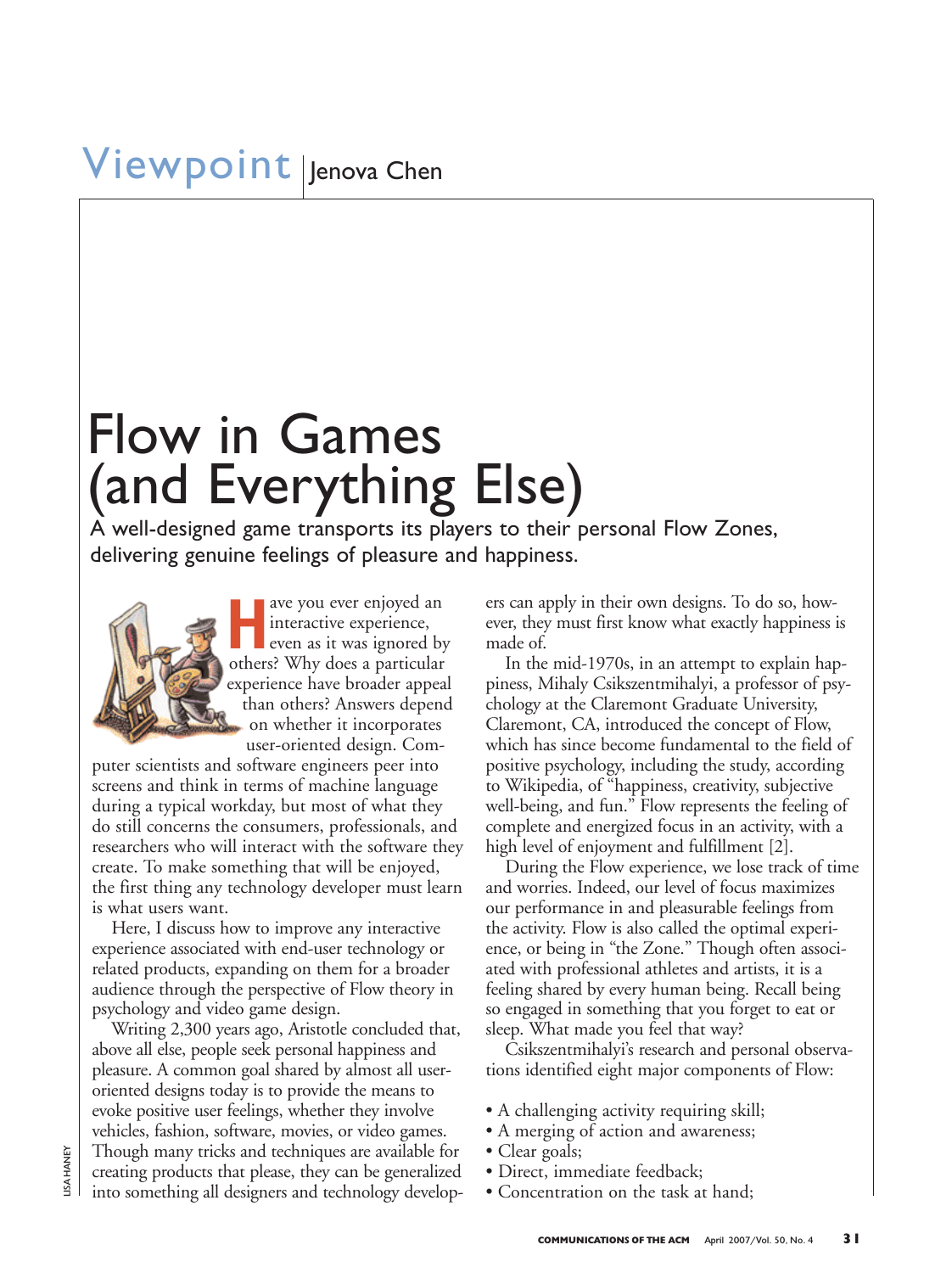# Flow in Games (and Everything Else)

A well-designed game transports its players to their personal Flow Zones, delivering genuine feelings of pleasure and happiness.



**Have you ever enjoyed and interactive experience, even as it was ignored b** interactive experience, even as it was ignored by others? Why does a particular experience have broader appeal than others? Answers depend on whether it incorporates user-oriented design. Com-

puter scientists and software engineers peer into screens and think in terms of machine language during a typical workday, but most of what they do still concerns the consumers, professionals, and researchers who will interact with the software they create. To make something that will be enjoyed, the first thing any technology developer must learn is what users want.

Here, I discuss how to improve any interactive experience associated with end-user technology or related products, expanding on them for a broader audience through the perspective of Flow theory in psychology and video game design.

Writing 2,300 years ago, Aristotle concluded that, above all else, people seek personal happiness and pleasure. A common goal shared by almost all useroriented designs today is to provide the means to evoke positive user feelings, whether they involve vehicles, fashion, software, movies, or video games. Though many tricks and techniques are available for creating products that please, they can be generalized into something all designers and technology developers can apply in their own designs. To do so, however, they must first know what exactly happiness is made of.

In the mid-1970s, in an attempt to explain happiness, Mihaly Csikszentmihalyi, a professor of psychology at the Claremont Graduate University, Claremont, CA, introduced the concept of Flow, which has since become fundamental to the field of positive psychology, including the study, according to Wikipedia, of "happiness, creativity, subjective well-being, and fun." Flow represents the feeling of complete and energized focus in an activity, with a high level of enjoyment and fulfillment [2].

During the Flow experience, we lose track of time and worries. Indeed, our level of focus maximizes our performance in and pleasurable feelings from the activity. Flow is also called the optimal experience, or being in "the Zone." Though often associated with professional athletes and artists, it is a feeling shared by every human being. Recall being so engaged in something that you forget to eat or sleep. What made you feel that way?

Csikszentmihalyi's research and personal observations identified eight major components of Flow:

- A challenging activity requiring skill;
- A merging of action and awareness;
- Clear goals;
- Direct, immediate feedback;
- Concentration on the task at hand;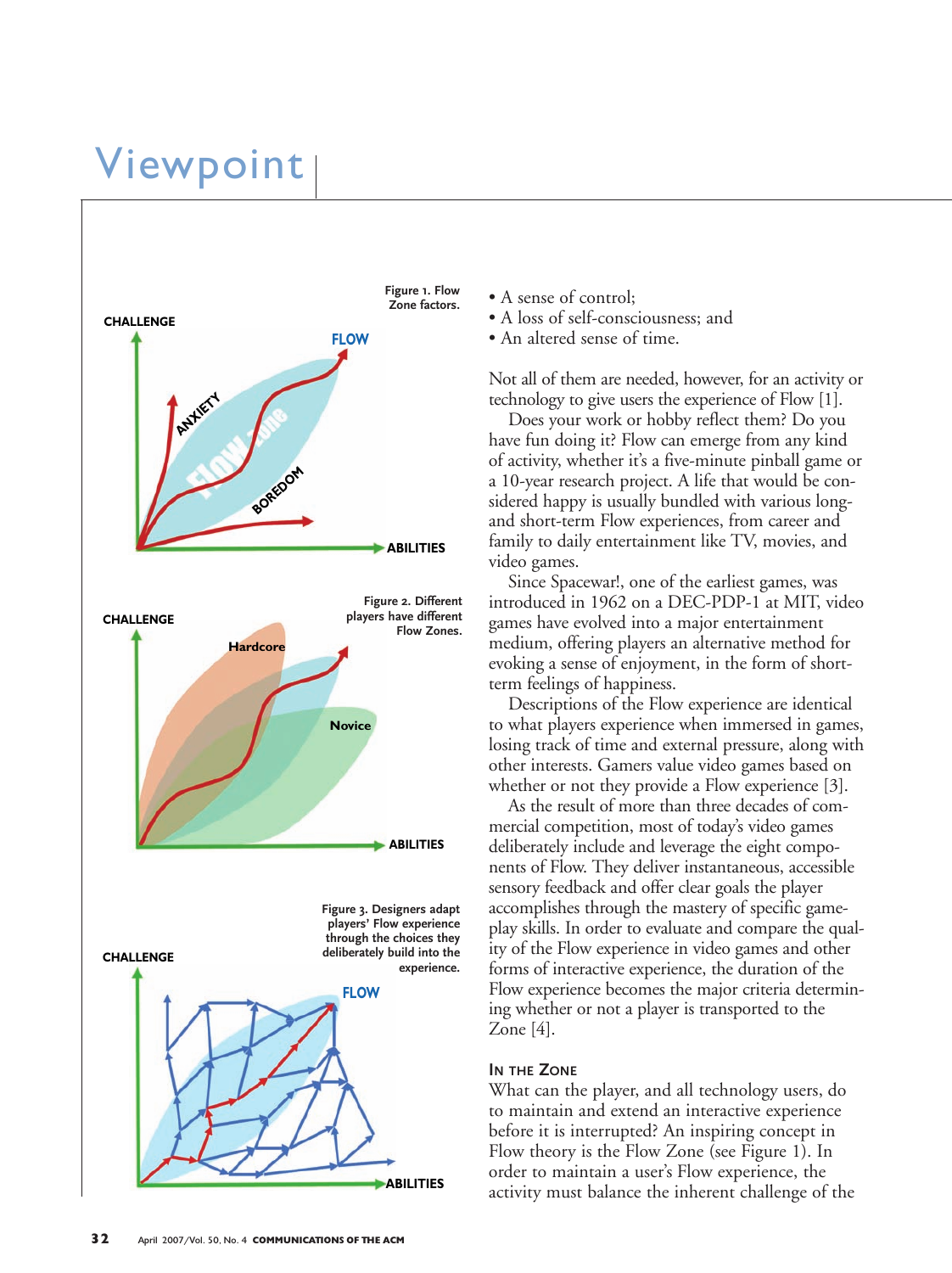### Viewpoint



- A sense of control;
- A loss of self-consciousness; and
- An altered sense of time.

Not all of them are needed, however, for an activity or technology to give users the experience of Flow [1].

Does your work or hobby reflect them? Do you have fun doing it? Flow can emerge from any kind of activity, whether it's a five-minute pinball game or a 10-year research project. A life that would be considered happy is usually bundled with various longand short-term Flow experiences, from career and family to daily entertainment like TV, movies, and video games.

Since Spacewar!, one of the earliest games, was introduced in 1962 on a DEC-PDP-1 at MIT, video games have evolved into a major entertainment medium, offering players an alternative method for evoking a sense of enjoyment, in the form of shortterm feelings of happiness.

Descriptions of the Flow experience are identical to what players experience when immersed in games, losing track of time and external pressure, along with other interests. Gamers value video games based on whether or not they provide a Flow experience [3].

As the result of more than three decades of commercial competition, most of today's video games deliberately include and leverage the eight components of Flow. They deliver instantaneous, accessible sensory feedback and offer clear goals the player accomplishes through the mastery of specific gameplay skills. In order to evaluate and compare the quality of the Flow experience in video games and other forms of interactive experience, the duration of the Flow experience becomes the major criteria determining whether or not a player is transported to the Zone [4].

#### **IN THE ZONE**

What can the player, and all technology users, do to maintain and extend an interactive experience before it is interrupted? An inspiring concept in Flow theory is the Flow Zone (see Figure 1). In order to maintain a user's Flow experience, the activity must balance the inherent challenge of the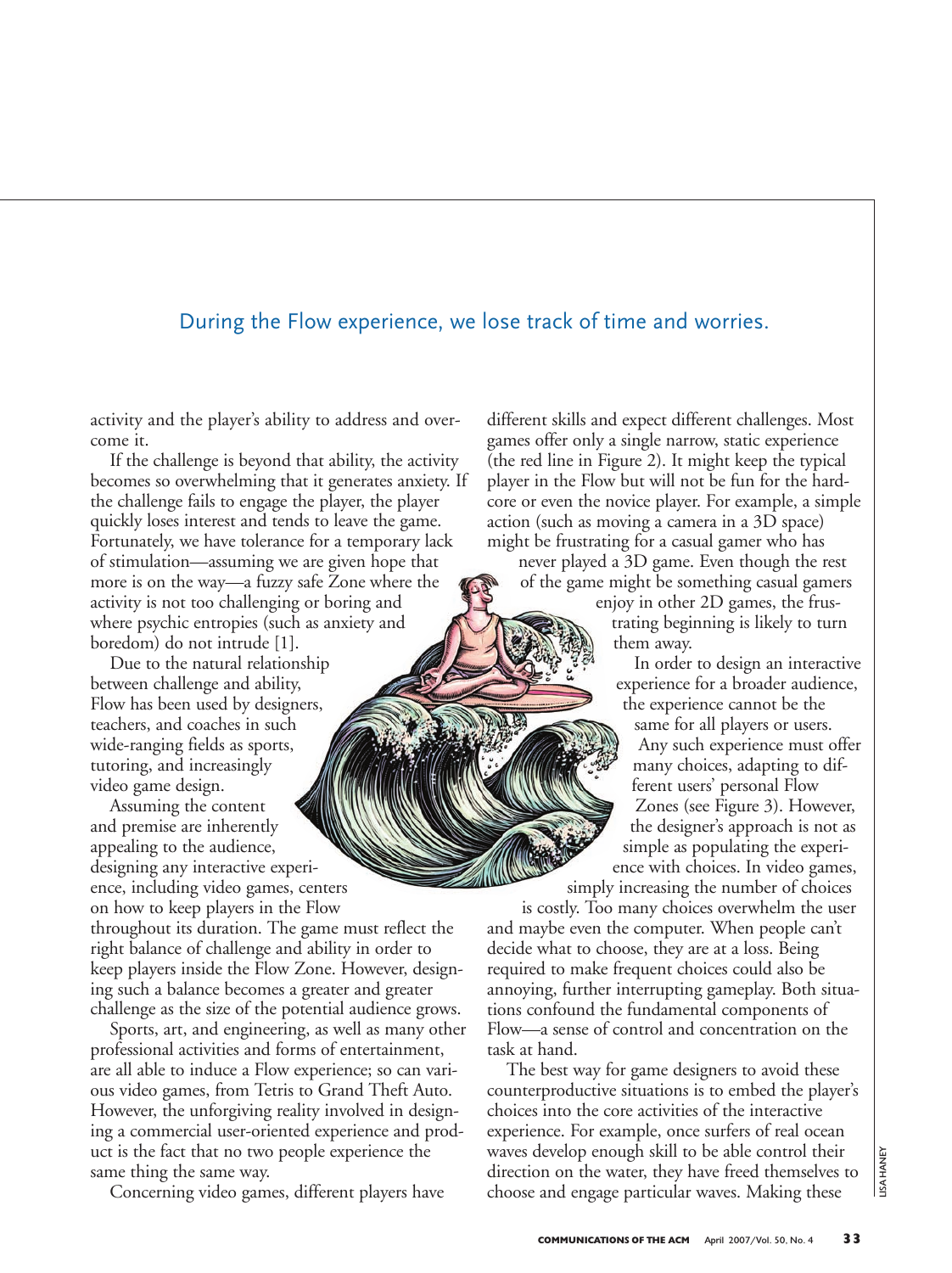### During the Flow experience, we lose track of time and worries.

activity and the player's ability to address and overcome it.

If the challenge is beyond that ability, the activity becomes so overwhelming that it generates anxiety. If the challenge fails to engage the player, the player quickly loses interest and tends to leave the game. Fortunately, we have tolerance for a temporary lack of stimulation—assuming we are given hope that more is on the way—a fuzzy safe Zone where the activity is not too challenging or boring and where psychic entropies (such as anxiety and boredom) do not intrude [1].

Due to the natural relationship between challenge and ability, Flow has been used by designers, teachers, and coaches in such wide-ranging fields as sports, tutoring, and increasingly video game design.

Assuming the content and premise are inherently appealing to the audience, designing any interactive experience, including video games, centers on how to keep players in the Flow throughout its duration. The game must reflect the right balance of challenge and ability in order to keep players inside the Flow Zone. However, designing such a balance becomes a greater and greater challenge as the size of the potential audience grows.

Sports, art, and engineering, as well as many other professional activities and forms of entertainment, are all able to induce a Flow experience; so can various video games, from Tetris to Grand Theft Auto. However, the unforgiving reality involved in designing a commercial user-oriented experience and product is the fact that no two people experience the same thing the same way.

Concerning video games, different players have

different skills and expect different challenges. Most games offer only a single narrow, static experience (the red line in Figure 2). It might keep the typical player in the Flow but will not be fun for the hardcore or even the novice player. For example, a simple action (such as moving a camera in a 3D space) might be frustrating for a casual gamer who has

never played a 3D game. Even though the rest of the game might be something casual gamers

enjoy in other 2D games, the frustrating beginning is likely to turn them away.

In order to design an interactive experience for a broader audience, the experience cannot be the same for all players or users. Any such experience must offer many choices, adapting to different users' personal Flow Zones (see Figure 3). However, the designer's approach is not as simple as populating the experience with choices. In video games, simply increasing the number of choices

is costly. Too many choices overwhelm the user and maybe even the computer. When people can't decide what to choose, they are at a loss. Being required to make frequent choices could also be annoying, further interrupting gameplay. Both situations confound the fundamental components of Flow—a sense of control and concentration on the task at hand.

The best way for game designers to avoid these counterproductive situations is to embed the player's choices into the core activities of the interactive experience. For example, once surfers of real ocean waves develop enough skill to be able control their direction on the water, they have freed themselves to choose and engage particular waves. Making these